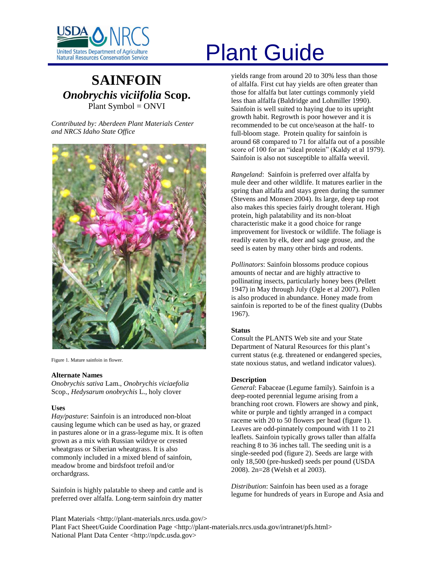

# **SAINFOIN** *Onobrychis viciifolia* **Scop.** Plant Symbol = ONVI

*Contributed by: Aberdeen Plant Materials Center and NRCS Idaho State Office*



Figure 1. Mature sainfoin in flower.

#### **Alternate Names**

*Onobrychis sativa* Lam., *Onobrychis viciaefolia* Scop., *Hedysarum onobrychis* L., holy clover

# **Uses**

*Hay/pasture*: Sainfoin is an introduced non-bloat causing legume which can be used as hay, or grazed in pastures alone or in a grass-legume mix. It is often grown as a mix with Russian wildrye or crested wheatgrass or Siberian wheatgrass. It is also commonly included in a mixed blend of sainfoin, meadow brome and birdsfoot trefoil and/or orchardgrass.

Sainfoin is highly palatable to sheep and cattle and is preferred over alfalfa. Long-term sainfoin dry matter

# United States Department of Agriculture<br>Natural Resources Conservation Service

yields range from around 20 to 30% less than those of alfalfa. First cut hay yields are often greater than those for alfalfa but later cuttings commonly yield less than alfalfa (Baldridge and Lohmiller 1990). Sainfoin is well suited to haying due to its upright growth habit. Regrowth is poor however and it is recommended to be cut once/season at the half- to full-bloom stage. Protein quality for sainfoin is around 68 compared to 71 for alfalfa out of a possible score of 100 for an "ideal protein" (Kaldy et al 1979). Sainfoin is also not susceptible to alfalfa weevil.

*Rangeland*: Sainfoin is preferred over alfalfa by mule deer and other wildlife. It matures earlier in the spring than alfalfa and stays green during the summer (Stevens and Monsen 2004). Its large, deep tap root also makes this species fairly drought tolerant. High protein, high palatability and its non-bloat characteristic make it a good choice for range improvement for livestock or wildlife. The foliage is readily eaten by elk, deer and sage grouse, and the seed is eaten by many other birds and rodents.

*Pollinators*: Sainfoin blossoms produce copious amounts of nectar and are highly attractive to pollinating insects, particularly honey bees (Pellett 1947) in May through July (Ogle et al 2007). Pollen is also produced in abundance. Honey made from sainfoin is reported to be of the finest quality (Dubbs 1967).

# **Status**

Consult the PLANTS Web site and your State Department of Natural Resources for this plant"s current status (e.g. threatened or endangered species, state noxious status, and wetland indicator values).

# **Description**

*General*: Fabaceae (Legume family). Sainfoin is a deep-rooted perennial legume arising from a branching root crown. Flowers are showy and pink, white or purple and tightly arranged in a compact raceme with 20 to 50 flowers per head (figure 1). Leaves are odd-pinnately compound with 11 to 21 leaflets. Sainfoin typically grows taller than alfalfa reaching 8 to 36 inches tall. The seeding unit is a single-seeded pod (figure 2). Seeds are large with only 18,500 (pre-husked) seeds per pound (USDA 2008). 2n=28 (Welsh et al 2003).

*Distribution*: Sainfoin has been used as a forage legume for hundreds of years in Europe and Asia and

Plant Materials <http://plant-materials.nrcs.usda.gov/> Plant Fact Sheet/Guide Coordination Page <http://plant-materials.nrcs.usda.gov/intranet/pfs.html> National Plant Data Center <http://npdc.usda.gov>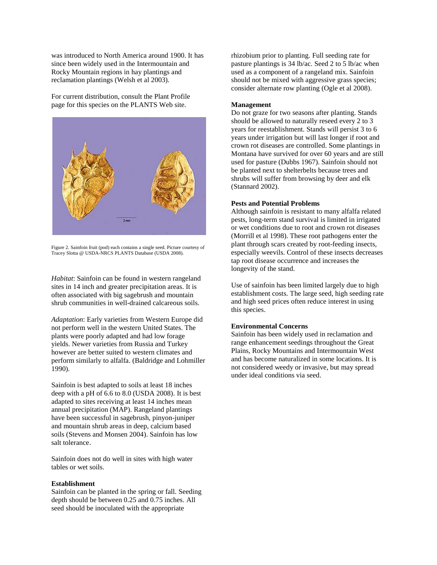was introduced to North America around 1900. It has since been widely used in the Intermountain and Rocky Mountain regions in hay plantings and reclamation plantings (Welsh et al 2003).

For current distribution, consult the Plant Profile page for this species on the PLANTS Web site.



Figure 2. Sainfoin fruit (pod) each contains a single seed. Picture courtesy of Tracey Slotta @ USDA-NRCS PLANTS Database (USDA 2008).

*Habitat*: Sainfoin can be found in western rangeland sites in 14 inch and greater precipitation areas. It is often associated with big sagebrush and mountain shrub communities in well-drained calcareous soils.

*Adaptation*: Early varieties from Western Europe did not perform well in the western United States. The plants were poorly adapted and had low forage yields. Newer varieties from Russia and Turkey however are better suited to western climates and perform similarly to alfalfa. (Baldridge and Lohmiller 1990).

Sainfoin is best adapted to soils at least 18 inches deep with a pH of 6.6 to 8.0 (USDA 2008). It is best adapted to sites receiving at least 14 inches mean annual precipitation (MAP). Rangeland plantings have been successful in sagebrush, pinyon-juniper and mountain shrub areas in deep, calcium based soils (Stevens and Monsen 2004). Sainfoin has low salt tolerance.

Sainfoin does not do well in sites with high water tables or wet soils.

#### **Establishment**

Sainfoin can be planted in the spring or fall. Seeding depth should be between 0.25 and 0.75 inches. All seed should be inoculated with the appropriate

rhizobium prior to planting. Full seeding rate for pasture plantings is 34 lb/ac. Seed 2 to 5 lb/ac when used as a component of a rangeland mix. Sainfoin should not be mixed with aggressive grass species; consider alternate row planting (Ogle et al 2008).

#### **Management**

Do not graze for two seasons after planting. Stands should be allowed to naturally reseed every 2 to 3 years for reestablishment. Stands will persist 3 to 6 years under irrigation but will last longer if root and crown rot diseases are controlled. Some plantings in Montana have survived for over 60 years and are still used for pasture (Dubbs 1967). Sainfoin should not be planted next to shelterbelts because trees and shrubs will suffer from browsing by deer and elk (Stannard 2002).

#### **Pests and Potential Problems**

Although sainfoin is resistant to many alfalfa related pests, long-term stand survival is limited in irrigated or wet conditions due to root and crown rot diseases (Morrill et al 1998). These root pathogens enter the plant through scars created by root-feeding insects, especially weevils. Control of these insects decreases tap root disease occurrence and increases the longevity of the stand.

Use of sainfoin has been limited largely due to high establishment costs. The large seed, high seeding rate and high seed prices often reduce interest in using this species.

### **Environmental Concerns**

Sainfoin has been widely used in reclamation and range enhancement seedings throughout the Great Plains, Rocky Mountains and Intermountain West and has become naturalized in some locations. It is not considered weedy or invasive, but may spread under ideal conditions via seed.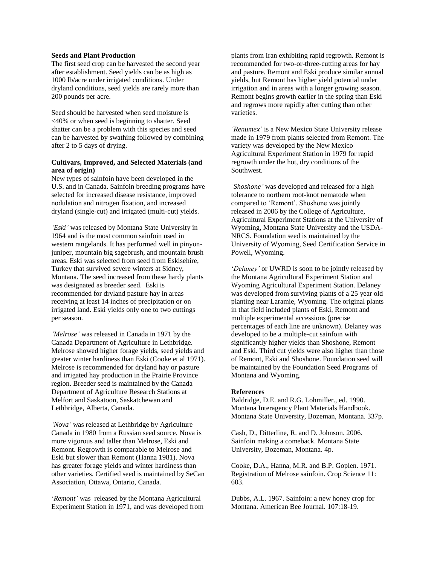# **Seeds and Plant Production**

The first seed crop can be harvested the second year after establishment. Seed yields can be as high as 1000 lb/acre under irrigated conditions. Under dryland conditions, seed yields are rarely more than 200 pounds per acre.

Seed should be harvested when seed moisture is <40% or when seed is beginning to shatter. Seed shatter can be a problem with this species and seed can be harvested by swathing followed by combining after 2 to 5 days of drying.

# **Cultivars, Improved, and Selected Materials (and area of origin)**

New types of sainfoin have been developed in the U.S. and in Canada. Sainfoin breeding programs have selected for increased disease resistance, improved nodulation and nitrogen fixation, and increased dryland (single-cut) and irrigated (multi-cut) yields.

*'Eski'* was released by Montana State University in 1964 and is the most common sainfoin used in western rangelands. It has performed well in pinyonjuniper, mountain big sagebrush, and mountain brush areas. Eski was selected from seed from Eskisehire, Turkey that survived severe winters at Sidney, Montana. The seed increased from these hardy plants was designated as breeder seed. Eski is recommended for dryland pasture hay in areas receiving at least 14 inches of precipitation or on irrigated land. Eski yields only one to two cuttings per season.

*'Melrose'* was released in Canada in 1971 by the Canada Department of Agriculture in Lethbridge. Melrose showed higher forage yields, seed yields and greater winter hardiness than Eski (Cooke et al 1971). Melrose is recommended for dryland hay or pasture and irrigated hay production in the Prairie Province region. Breeder seed is maintained by the Canada Department of Agriculture Research Stations at Melfort and Saskatoon, Saskatchewan and Lethbridge, Alberta, Canada.

*'Nova'* was released at Lethbridge by Agriculture Canada in 1980 from a Russian seed source. Nova is more vigorous and taller than Melrose, Eski and Remont. Regrowth is comparable to Melrose and Eski but slower than Remont (Hanna 1981). Nova has greater forage yields and winter hardiness than other varieties. Certified seed is maintained by SeCan Association, Ottawa, Ontario, Canada.

"*Remont'* was released by the Montana Agricultural Experiment Station in 1971, and was developed from plants from Iran exhibiting rapid regrowth. Remont is recommended for two-or-three-cutting areas for hay and pasture. Remont and Eski produce similar annual yields, but Remont has higher yield potential under irrigation and in areas with a longer growing season. Remont begins growth earlier in the spring than Eski and regrows more rapidly after cutting than other varieties.

*'Renumex'* is a New Mexico State University release made in 1979 from plants selected from Remont. The variety was developed by the New Mexico Agricultural Experiment Station in 1979 for rapid regrowth under the hot, dry conditions of the Southwest.

*'Shoshone'* was developed and released for a high tolerance to northern root-knot nematode when compared to "Remont". Shoshone was jointly released in 2006 by the College of Agriculture, Agricultural Experiment Stations at the University of Wyoming, Montana State University and the USDA-NRCS. Foundation seed is maintained by the University of Wyoming, Seed Certification Service in Powell, Wyoming.

"*Delaney'* or UWRD is soon to be jointly released by the Montana Agricultural Experiment Station and Wyoming Agricultural Experiment Station. Delaney was developed from surviving plants of a 25 year old planting near Laramie, Wyoming. The original plants in that field included plants of Eski, Remont and multiple experimental accessions (precise percentages of each line are unknown). Delaney was developed to be a multiple-cut sainfoin with significantly higher yields than Shoshone, Remont and Eski. Third cut yields were also higher than those of Remont, Eski and Shoshone. Foundation seed will be maintained by the Foundation Seed Programs of Montana and Wyoming.

#### **References**

Baldridge, D.E. and R.G. Lohmiller., ed. 1990. Montana Interagency Plant Materials Handbook. Montana State University, Bozeman, Montana. 337p.

Cash, D., Ditterline, R. and D. Johnson. 2006. Sainfoin making a comeback. Montana State University, Bozeman, Montana. 4p.

Cooke, D.A., Hanna, M.R. and B.P. Goplen. 1971. Registration of Melrose sainfoin. Crop Science 11: 603.

Dubbs, A.L. 1967. Sainfoin: a new honey crop for Montana. American Bee Journal. 107:18-19.